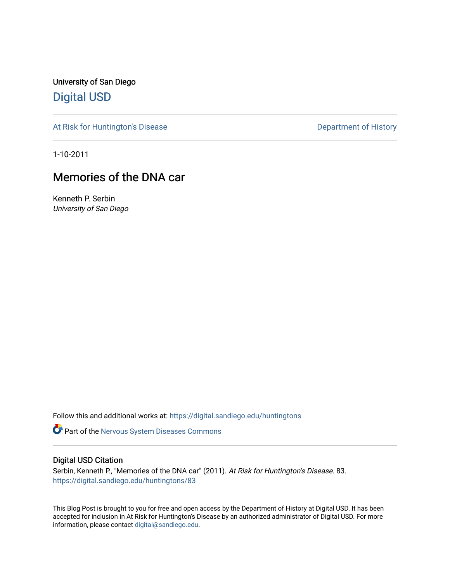University of San Diego [Digital USD](https://digital.sandiego.edu/)

[At Risk for Huntington's Disease](https://digital.sandiego.edu/huntingtons) **Department of History** Department of History

1-10-2011

## Memories of the DNA car

Kenneth P. Serbin University of San Diego

Follow this and additional works at: [https://digital.sandiego.edu/huntingtons](https://digital.sandiego.edu/huntingtons?utm_source=digital.sandiego.edu%2Fhuntingtons%2F83&utm_medium=PDF&utm_campaign=PDFCoverPages)

**Part of the [Nervous System Diseases Commons](http://network.bepress.com/hgg/discipline/928?utm_source=digital.sandiego.edu%2Fhuntingtons%2F83&utm_medium=PDF&utm_campaign=PDFCoverPages)** 

## Digital USD Citation

Serbin, Kenneth P., "Memories of the DNA car" (2011). At Risk for Huntington's Disease. 83. [https://digital.sandiego.edu/huntingtons/83](https://digital.sandiego.edu/huntingtons/83?utm_source=digital.sandiego.edu%2Fhuntingtons%2F83&utm_medium=PDF&utm_campaign=PDFCoverPages)

This Blog Post is brought to you for free and open access by the Department of History at Digital USD. It has been accepted for inclusion in At Risk for Huntington's Disease by an authorized administrator of Digital USD. For more information, please contact [digital@sandiego.edu.](mailto:digital@sandiego.edu)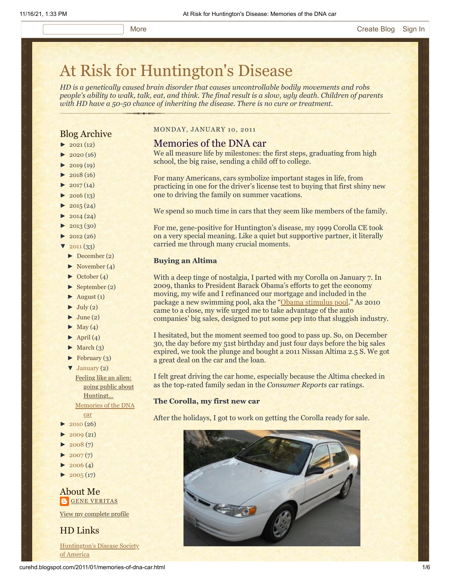# [At Risk for Huntington's Disease](http://curehd.blogspot.com/)

*HD is a genetically caused brain disorder that causes uncontrollable bodily movements and robs people's ability to walk, talk, eat, and think. The final result is a slow, ugly death. Children of parents with HD have a 50-50 chance of inheriting the disease. There is no cure or treatment.*

## Blog Archive

- $\blacktriangleright$  [2021](http://curehd.blogspot.com/2021/)(12)
- $2020(16)$  $2020(16)$
- $2019(19)$  $2019(19)$
- $2018(16)$  $2018(16)$
- $2017(14)$  $2017(14)$
- $2016(13)$  $2016(13)$
- $\blacktriangleright$  [2015](http://curehd.blogspot.com/2015/) (24)
- $-2014(24)$  $-2014(24)$  $-2014(24)$
- [►](javascript:void(0)) [2013](http://curehd.blogspot.com/2013/) (30)
- $\blacktriangleright$  [2012](http://curehd.blogspot.com/2012/) (26)
- $2011(33)$  $2011(33)$
- [►](javascript:void(0)) [December](http://curehd.blogspot.com/2011/12/) (2)
- [►](javascript:void(0)) [November](http://curehd.blogspot.com/2011/11/) (4)
- [►](javascript:void(0)) [October](http://curehd.blogspot.com/2011/10/) (4)
- $\blacktriangleright$  [September](http://curehd.blogspot.com/2011/09/) (2)
- $\blacktriangleright$  [August](http://curehd.blogspot.com/2011/08/) (1)
- $\blacktriangleright$  [July](http://curehd.blogspot.com/2011/07/) (2)
- [June](http://curehd.blogspot.com/2011/06/)  $(2)$
- $May (4)$  $May (4)$
- $\blacktriangleright$  [April](http://curehd.blogspot.com/2011/04/) (4)
- $\blacktriangleright$  [March](http://curehd.blogspot.com/2011/03/) (3)
- $\blacktriangleright$  [February](http://curehd.blogspot.com/2011/02/) (3)
- [▼](javascript:void(0)) [January](http://curehd.blogspot.com/2011/01/) (2)

Feeling like an alien: going public about [Huntingt...](http://curehd.blogspot.com/2011/01/feeling-like-alien-going-public-about.html) [Memories](http://curehd.blogspot.com/2011/01/memories-of-dna-car.html) of the DNA car

- [►](javascript:void(0)) [2010](http://curehd.blogspot.com/2010/) (26)
- $2009(21)$  $2009(21)$
- $2008(7)$  $2008(7)$
- $2007(7)$  $2007(7)$
- $2006(4)$  $2006(4)$
- $2005(17)$  $2005(17)$

About Me **GENE [VERITAS](https://www.blogger.com/profile/10911736205741688185)** 

View my [complete](https://www.blogger.com/profile/10911736205741688185) profile

HD Links

[Huntington's](http://www.hdsa.org/) Disease Society of America

## MONDAY, JANUARY 10, 2011

## Memories of the DNA car

We all measure life by milestones: the first steps, graduating from high school, the big raise, sending a child off to college.

For many Americans, cars symbolize important stages in life, from practicing in one for the driver's license test to buying that first shiny new one to driving the family on summer vacations.

We spend so much time in cars that they seem like members of the family.

For me, gene-positive for Huntington's disease, my 1999 Corolla CE took on a very special meaning. Like a quiet but supportive partner, it literally carried me through many crucial moments.

#### **Buying an Altima**

With a deep tinge of nostalgia, I parted with my Corolla on January 7. In 2009, thanks to President Barack Obama's efforts to get the economy moving, my wife and I refinanced our mortgage and included in the package a new swimming pool, aka the "[Obama stimulus pool](http://curehd.blogspot.com/2010/08/my-friend-fast-lane.html)." As 2010 came to a close, my wife urged me to take advantage of the auto companies' big sales, designed to put some pep into that sluggish industry.

I hesitated, but the moment seemed too good to pass up. So, on December 30, the day before my 51st birthday and just four days before the big sales expired, we took the plunge and bought a 2011 Nissan Altima 2.5 S. We got a great deal on the car and the loan.

I felt great driving the car home, especially because the Altima checked in as the top-rated family sedan in the *Consumer Reports* car ratings.

#### **The Corolla, my first new car**

After the holidays, I got to work on getting the Corolla ready for sale.

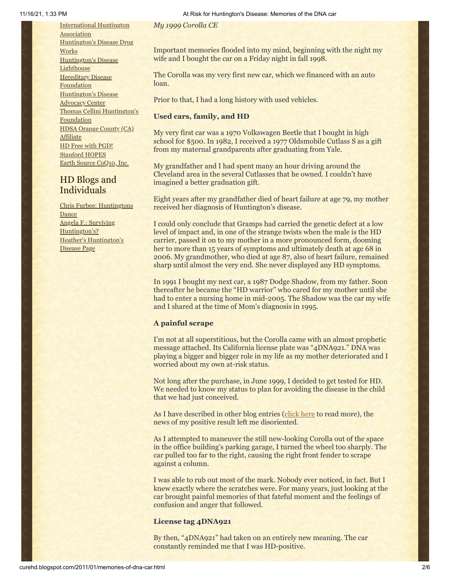[International](http://www.huntington-assoc.com/) Huntington **Association** [Huntington's](http://hddrugworks.org/) Disease Drug **Works** [Huntington's](http://www.hdlighthouse.org/) Disease **Lighthouse [Hereditary](http://www.hdfoundation.org/) Disease Foundation** [Huntington's](http://www.hdac.org/) Disease Advocacy Center Thomas [Cellini Huntington's](http://www.ourtchfoundation.org/) **Foundation** HDSA Orange County (CA) **[Affiliate](http://www.hdsaoc.org/)** HD Free with [PGD!](http://www.hdfreewithpgd.com/) [Stanford](http://www.stanford.edu/group/hopes/) HOPES Earth Source [CoQ10,](http://www.escoq10.com/) Inc.

## HD Blogs and Individuals

Chris Furbee: [Huntingtons](http://www.huntingtonsdance.org/) Dance Angela F.: Surviving [Huntington's?](http://survivinghuntingtons.blogspot.com/) Heather's [Huntington's](http://heatherdugdale.angelfire.com/) Disease Page

*My 1999 Corolla CE*

Important memories flooded into my mind, beginning with the night my wife and I bought the car on a Friday night in fall 1998.

The Corolla was my very first new car, which we financed with an auto loan.

Prior to that, I had a long history with used vehicles.

## **Used cars, family, and HD**

My very first car was a 1970 Volkswagen Beetle that I bought in high school for \$500. In 1982, I received a 1977 Oldsmobile Cutlass S as a gift from my maternal grandparents after graduating from Yale.

My grandfather and I had spent many an hour driving around the Cleveland area in the several Cutlasses that he owned. I couldn't have imagined a better graduation gift.

Eight years after my grandfather died of heart failure at age 79, my mother received her diagnosis of Huntington's disease.

I could only conclude that Gramps had carried the genetic defect at a low level of impact and, in one of the strange twists when the male is the HD carrier, passed it on to my mother in a more pronounced form, dooming her to more than 15 years of symptoms and ultimately death at age 68 in 2006. My grandmother, who died at age 87, also of heart failure, remained sharp until almost the very end. She never displayed any HD symptoms.

In 1991 I bought my next car, a 1987 Dodge Shadow, from my father. Soon thereafter he became the "HD warrior" who cared for my mother until she had to enter a nursing home in mid-2005. The Shadow was the car my wife and I shared at the time of Mom's diagnosis in 1995.

## **A painful scrape**

I'm not at all superstitious, but the Corolla came with an almost prophetic message attached. Its California license plate was "4DNA921." DNA was playing a bigger and bigger role in my life as my mother deteriorated and I worried about my own at-risk status.

Not long after the purchase, in June 1999, I decided to get tested for HD. We needed to know my status to plan for avoiding the disease in the child that we had just conceived.

As I have described in other blog entries ([click here](http://curehd.blogspot.com/2006/11/handling-news.html) to read more), the news of my positive result left me disoriented.

As I attempted to maneuver the still new-looking Corolla out of the space in the office building's parking garage, I turned the wheel too sharply. The car pulled too far to the right, causing the right front fender to scrape against a column.

I was able to rub out most of the mark. Nobody ever noticed, in fact. But I knew exactly where the scratches were. For many years, just looking at the car brought painful memories of that fateful moment and the feelings of confusion and anger that followed.

## **License tag 4DNA921**

By then, "4DNA921" had taken on an entirely new meaning. The car constantly reminded me that I was HD-positive.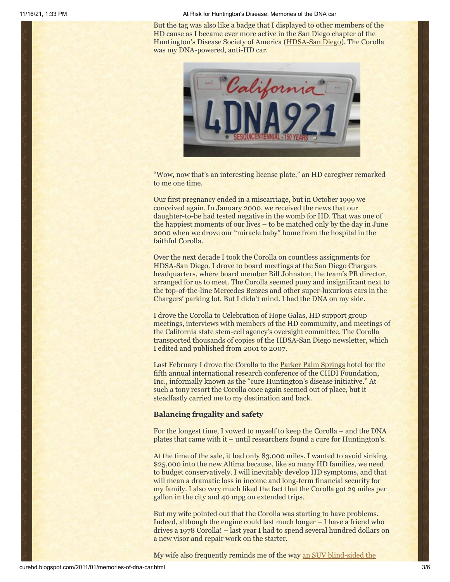11/16/21, 1:33 PM **At Risk for Huntington's Disease: Memories of the DNA car** At Risk for Huntington's Disease: Memories of the DNA car

But the tag was also like a badge that I displayed to other members of the HD cause as I became ever more active in the San Diego chapter of the Huntington's Disease Society of America ([HDSA-San Diego](http://www.hdsasandiego.org/)). The Corolla was my DNA-powered, anti-HD car.



"Wow, now that's an interesting license plate," an HD caregiver remarked to me one time.

Our first pregnancy ended in a miscarriage, but in October 1999 we conceived again. In January 2000, we received the news that our daughter-to-be had tested negative in the womb for HD. That was one of the happiest moments of our lives – to be matched only by the day in June 2000 when we drove our "miracle baby" home from the hospital in the faithful Corolla.

Over the next decade I took the Corolla on countless assignments for HDSA-San Diego. I drove to board meetings at the San Diego Chargers headquarters, where board member Bill Johnston, the team's PR director, arranged for us to meet. The Corolla seemed puny and insignificant next to the top-of-the-line Mercedes Benzes and other super-luxurious cars in the Chargers' parking lot. But I didn't mind. I had the DNA on my side.

I drove the Corolla to Celebration of Hope Galas, HD support group meetings, interviews with members of the HD community, and meetings of the California state stem-cell agency's oversight committee. The Corolla transported thousands of copies of the HDSA-San Diego newsletter, which I edited and published from 2001 to 2007.

Last February I drove the Corolla to the **Parker Palm Springs** hotel for the fifth annual international research conference of the CHDI Foundation, Inc., informally known as the "cure Huntington's disease initiative." At such a tony resort the Corolla once again seemed out of place, but it steadfastly carried me to my destination and back.

### **Balancing frugality and safety**

For the longest time, I vowed to myself to keep the Corolla – and the DNA plates that came with it – until researchers found a cure for Huntington's.

At the time of the sale, it had only 83,000 miles. I wanted to avoid sinking \$25,000 into the new Altima because, like so many HD families, we need to budget conservatively. I will inevitably develop HD symptoms, and that will mean a dramatic loss in income and long-term financial security for my family. I also very much liked the fact that the Corolla got 29 miles per gallon in the city and 40 mpg on extended trips.

But my wife pointed out that the Corolla was starting to have problems. Indeed, although the engine could last much longer – I have a friend who drives a 1978 Corolla! – last year I had to spend several hundred dollars on a new visor and repair work on the starter.

[My wife also frequently reminds me of the way an SUV blind-sided the](http://curehd.blogspot.com/2009/05/hd-hurtling-towards-death.html)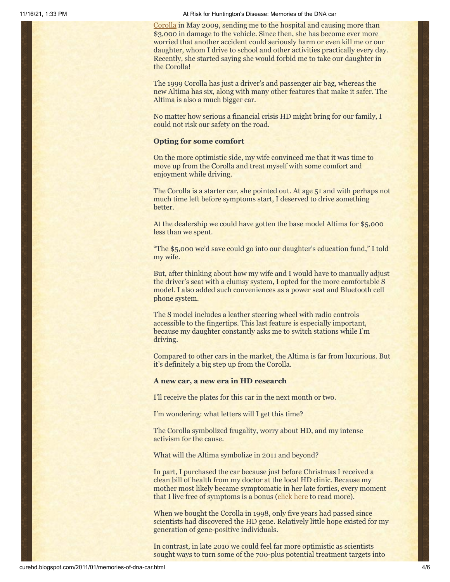11/16/21, 1:33 PM **At Risk for Huntington's Disease: Memories of the DNA car** At Risk for Huntington's Disease: Memories of the DNA car

[Corolla in May 2009, sending me to the hospital and causing more than](http://curehd.blogspot.com/2009/05/hd-hurtling-towards-death.html) \$3,000 in damage to the vehicle. Since then, she has become ever more worried that another accident could seriously harm or even kill me or our daughter, whom I drive to school and other activities practically every day. Recently, she started saying she would forbid me to take our daughter in the Corolla!

The 1999 Corolla has just a driver's and passenger air bag, whereas the new Altima has six, along with many other features that make it safer. The Altima is also a much bigger car.

No matter how serious a financial crisis HD might bring for our family, I could not risk our safety on the road.

#### **Opting for some comfort**

On the more optimistic side, my wife convinced me that it was time to move up from the Corolla and treat myself with some comfort and enjoyment while driving.

The Corolla is a starter car, she pointed out. At age 51 and with perhaps not much time left before symptoms start, I deserved to drive something better.

At the dealership we could have gotten the base model Altima for \$5,000 less than we spent.

"The \$5,000 we'd save could go into our daughter's education fund," I told my wife.

But, after thinking about how my wife and I would have to manually adjust the driver's seat with a clumsy system, I opted for the more comfortable S model. I also added such conveniences as a power seat and Bluetooth cell phone system.

The S model includes a leather steering wheel with radio controls accessible to the fingertips. This last feature is especially important, because my daughter constantly asks me to switch stations while I'm driving.

Compared to other cars in the market, the Altima is far from luxurious. But it's definitely a big step up from the Corolla.

#### **A new car, a new era in HD research**

I'll receive the plates for this car in the next month or two.

I'm wondering: what letters will I get this time?

The Corolla symbolized frugality, worry about HD, and my intense activism for the cause.

What will the Altima symbolize in 2011 and beyond?

In part, I purchased the car because just before Christmas I received a clean bill of health from my doctor at the local HD clinic. Because my mother most likely became symptomatic in her late forties, every moment that I live free of symptoms is a bonus ([click here](http://curehd.blogspot.com/2010/12/best-christmas-gift-of-all.html) to read more).

When we bought the Corolla in 1998, only five years had passed since scientists had discovered the HD gene. Relatively little hope existed for my generation of gene-positive individuals.

In contrast, in late 2010 we could feel far more optimistic as scientists sought ways to turn some of the 700-plus potential treatment targets into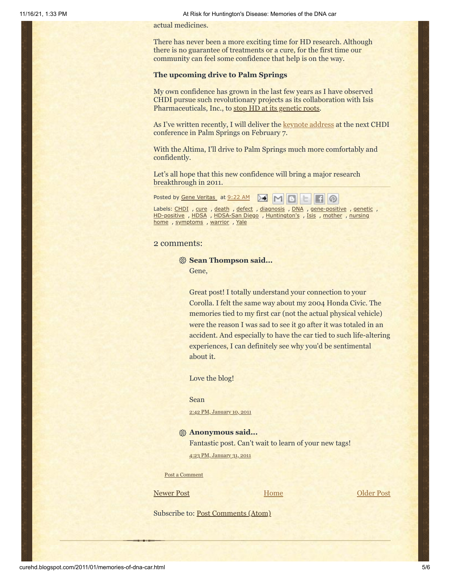actual medicines.

There has never been a more exciting time for HD research. Although there is no guarantee of treatments or a cure, for the first time our community can feel some confidence that help is on the way.

#### **The upcoming drive to Palm Springs**

My own confidence has grown in the last few years as I have observed CHDI pursue such revolutionary projects as its collaboration with Isis Pharmaceuticals, Inc., to [stop HD at its genetic roots.](http://www.hdsasandiego.org/aev-41.aspx)

As I've written recently, I will deliver the **keynote address** at the next CHDI conference in Palm Springs on February 7.

With the Altima, I'll drive to Palm Springs much more comfortably and confidently.

Let's all hope that this new confidence will bring a major research breakthrough in 2011.

Posted by Gene [Veritas](https://www.blogger.com/profile/03599828959793084715) at [9:22](http://curehd.blogspot.com/2011/01/memories-of-dna-car.html) AM  $M$  M

Labels: [CHDI](http://curehd.blogspot.com/search/label/CHDI) , [cure](http://curehd.blogspot.com/search/label/cure) , [death](http://curehd.blogspot.com/search/label/death) , [defect](http://curehd.blogspot.com/search/label/defect) , [diagnosis](http://curehd.blogspot.com/search/label/diagnosis) , [DNA](http://curehd.blogspot.com/search/label/DNA) , [gene-positive](http://curehd.blogspot.com/search/label/gene-positive) , [genetic](http://curehd.blogspot.com/search/label/genetic) , [HD-positive](http://curehd.blogspot.com/search/label/HD-positive) , [HDSA](http://curehd.blogspot.com/search/label/HDSA) , [HDSA-San](http://curehd.blogspot.com/search/label/HDSA-San%20Diego) Diego , [Huntington](http://curehd.blogspot.com/search/label/nursing%20home)['](http://curehd.blogspot.com/search/label/Huntington%27s)[s](http://curehd.blogspot.com/search/label/nursing%20home) , [Isis](http://curehd.blogspot.com/search/label/Isis) , [mother](http://curehd.blogspot.com/search/label/mother) , nursing home , [symptoms](http://curehd.blogspot.com/search/label/symptoms) , [warrior](http://curehd.blogspot.com/search/label/warrior) , [Yale](http://curehd.blogspot.com/search/label/Yale)

### 2 comments:

**Sean Thompson said...** Gene,

> Great post! I totally understand your connection to your Corolla. I felt the same way about my 2004 Honda Civic. The memories tied to my first car (not the actual physical vehicle) were the reason I was sad to see it go after it was totaled in an accident. And especially to have the car tied to such life-altering experiences, I can definitely see why you'd be sentimental about it.

 $\omega$ 

Love the blog!

#### Sean

2:42 PM, [January](http://curehd.blogspot.com/2011/01/memories-of-dna-car.html?showComment=1294699361958#c2885978982036504350) 10, 2011

#### **Anonymous said...**

Fantastic post. Can't wait to learn of your new tags! 4:23 PM, [January](http://curehd.blogspot.com/2011/01/memories-of-dna-car.html?showComment=1296519834392#c5016045995939940011) 31, 2011

Post a [Comment](https://www.blogger.com/comment.g?blogID=10081281&postID=7708224263431025380&isPopup=true)

[Newer Post](http://curehd.blogspot.com/2011/01/feeling-like-alien-going-public-about.html) Newer Post Newer Post

**[Home](http://curehd.blogspot.com/)** 

Subscribe to: [Post Comments \(Atom\)](http://curehd.blogspot.com/feeds/7708224263431025380/comments/default)